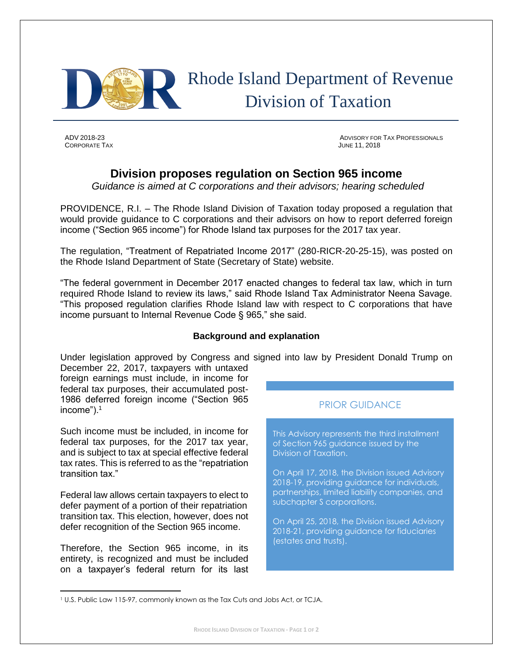

# Rhode Island Department of Revenue Division of Taxation

CORPORATE TAX JUNE 11, 2018

ADV 2018-23 ADVISORY FOR TAX PROFESSIONALS

## **Division proposes regulation on Section 965 income**

*Guidance is aimed at C corporations and their advisors; hearing scheduled*

PROVIDENCE, R.I. – The Rhode Island Division of Taxation today proposed a regulation that would provide guidance to C corporations and their advisors on how to report deferred foreign income ("Section 965 income") for Rhode Island tax purposes for the 2017 tax year.

The regulation, "Treatment of Repatriated Income 2017" (280-RICR-20-25-15), was posted on the Rhode Island Department of State (Secretary of State) website.

"The federal government in December 2017 enacted changes to federal tax law, which in turn required Rhode Island to review its laws," said Rhode Island Tax Administrator Neena Savage. "This proposed regulation clarifies Rhode Island law with respect to C corporations that have income pursuant to Internal Revenue Code § 965," she said.

#### **Background and explanation**

Under legislation approved by Congress and signed into law by President Donald Trump on

December 22, 2017, taxpayers with untaxed foreign earnings must include, in income for federal tax purposes, their accumulated post-1986 deferred foreign income ("Section 965 income").<sup>1</sup>

Such income must be included, in income for federal tax purposes, for the 2017 tax year, and is subject to tax at special effective federal tax rates. This is referred to as the "repatriation transition tax."

Federal law allows certain taxpayers to elect to defer payment of a portion of their repatriation transition tax. This election, however, does not defer recognition of the Section 965 income.

Therefore, the Section 965 income, in its entirety, is recognized and must be included on a taxpayer's federal return for its last

l

### PRIOR GUIDANCE

This Advisory represents the third installment of Section 965 guidance issued by the Division of Taxation.

On April 17, 2018, the Division issued Advisory 2018-19, providing guidance for individuals, partnerships, limited liability companies, and subchapter S corporations.

On April 25, 2018, the Division issued Advisory 2018-21, providing guidance for fiduciaries (estates and trusts).

<sup>1</sup> U.S. Public Law 115-97, commonly known as the Tax Cuts and Jobs Act, or TCJA.